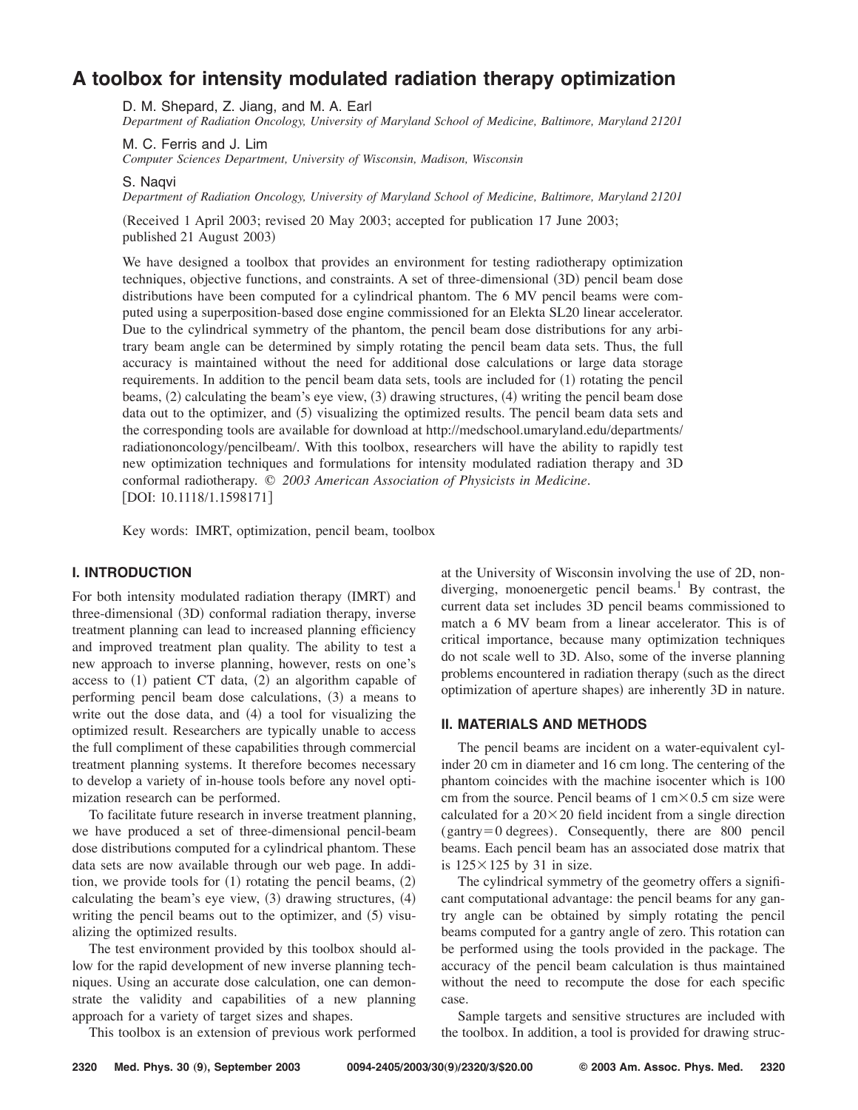# **A toolbox for intensity modulated radiation therapy optimization**

D. M. Shepard, Z. Jiang, and M. A. Earl

*Department of Radiation Oncology, University of Maryland School of Medicine, Baltimore, Maryland 21201*

M. C. Ferris and J. Lim

*Computer Sciences Department, University of Wisconsin, Madison, Wisconsin*

S. Nagvi

*Department of Radiation Oncology, University of Maryland School of Medicine, Baltimore, Maryland 21201*

!Received 1 April 2003; revised 20 May 2003; accepted for publication 17 June 2003; published 21 August 2003)

We have designed a toolbox that provides an environment for testing radiotherapy optimization techniques, objective functions, and constraints. A set of three-dimensional (3D) pencil beam dose distributions have been computed for a cylindrical phantom. The 6 MV pencil beams were computed using a superposition-based dose engine commissioned for an Elekta SL20 linear accelerator. Due to the cylindrical symmetry of the phantom, the pencil beam dose distributions for any arbitrary beam angle can be determined by simply rotating the pencil beam data sets. Thus, the full accuracy is maintained without the need for additional dose calculations or large data storage requirements. In addition to the pencil beam data sets, tools are included for  $(1)$  rotating the pencil beams,  $(2)$  calculating the beam's eye view,  $(3)$  drawing structures,  $(4)$  writing the pencil beam dose data out to the optimizer, and (5) visualizing the optimized results. The pencil beam data sets and the corresponding tools are available for download at http://medschool.umaryland.edu/departments/ radiationoncology/pencilbeam/. With this toolbox, researchers will have the ability to rapidly test new optimization techniques and formulations for intensity modulated radiation therapy and 3D conformal radiotherapy. © *2003 American Association of Physicists in Medicine.* [DOI: 10.1118/1.1598171]

Key words: IMRT, optimization, pencil beam, toolbox

## **I. INTRODUCTION**

For both intensity modulated radiation therapy (IMRT) and three-dimensional (3D) conformal radiation therapy, inverse treatment planning can lead to increased planning efficiency and improved treatment plan quality. The ability to test a new approach to inverse planning, however, rests on one's access to  $(1)$  patient CT data,  $(2)$  an algorithm capable of performing pencil beam dose calculations,  $(3)$  a means to write out the dose data, and  $(4)$  a tool for visualizing the optimized result. Researchers are typically unable to access the full compliment of these capabilities through commercial treatment planning systems. It therefore becomes necessary to develop a variety of in-house tools before any novel optimization research can be performed.

To facilitate future research in inverse treatment planning, we have produced a set of three-dimensional pencil-beam dose distributions computed for a cylindrical phantom. These data sets are now available through our web page. In addition, we provide tools for  $(1)$  rotating the pencil beams,  $(2)$ calculating the beam's eye view,  $(3)$  drawing structures,  $(4)$ writing the pencil beams out to the optimizer, and  $(5)$  visualizing the optimized results.

The test environment provided by this toolbox should allow for the rapid development of new inverse planning techniques. Using an accurate dose calculation, one can demonstrate the validity and capabilities of a new planning approach for a variety of target sizes and shapes.

This toolbox is an extension of previous work performed

at the University of Wisconsin involving the use of 2D, nondiverging, monoenergetic pencil beams.<sup>1</sup> By contrast, the current data set includes 3D pencil beams commissioned to match a 6 MV beam from a linear accelerator. This is of critical importance, because many optimization techniques do not scale well to 3D. Also, some of the inverse planning problems encountered in radiation therapy (such as the direct optimization of aperture shapes) are inherently 3D in nature.

# **II. MATERIALS AND METHODS**

The pencil beams are incident on a water-equivalent cylinder 20 cm in diameter and 16 cm long. The centering of the phantom coincides with the machine isocenter which is 100 cm from the source. Pencil beams of  $1 \text{ cm} \times 0.5 \text{ cm}$  size were calculated for a  $20 \times 20$  field incident from a single direction  $(gantry = 0 \text{ degrees})$ . Consequently, there are 800 pencil beams. Each pencil beam has an associated dose matrix that is  $125 \times 125$  by 31 in size.

The cylindrical symmetry of the geometry offers a significant computational advantage: the pencil beams for any gantry angle can be obtained by simply rotating the pencil beams computed for a gantry angle of zero. This rotation can be performed using the tools provided in the package. The accuracy of the pencil beam calculation is thus maintained without the need to recompute the dose for each specific case.

Sample targets and sensitive structures are included with the toolbox. In addition, a tool is provided for drawing struc-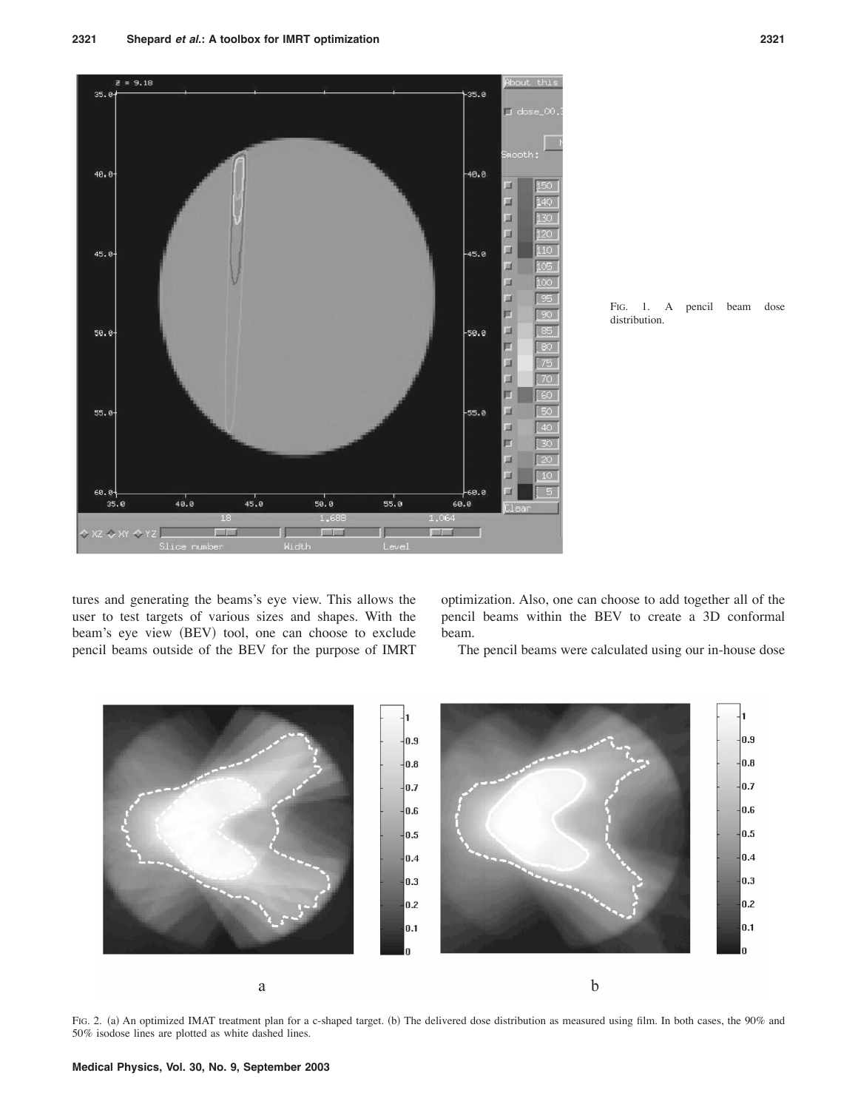

FIG. 1. A pencil beam dose distribution.

tures and generating the beams's eye view. This allows the user to test targets of various sizes and shapes. With the beam's eye view (BEV) tool, one can choose to exclude pencil beams outside of the BEV for the purpose of IMRT optimization. Also, one can choose to add together all of the pencil beams within the BEV to create a 3D conformal beam.

The pencil beams were calculated using our in-house dose



FIG. 2. (a) An optimized IMAT treatment plan for a c-shaped target. (b) The delivered dose distribution as measured using film. In both cases, the 90% and 50% isodose lines are plotted as white dashed lines.